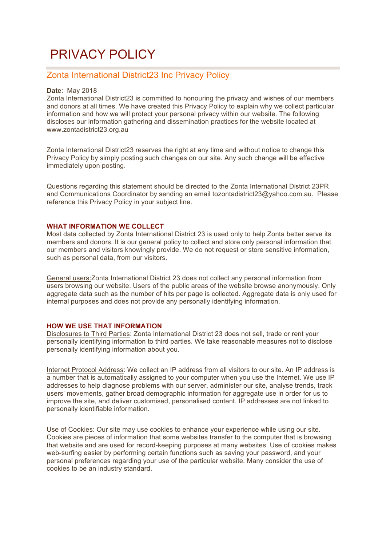# PRIVACY POLICY

## Zonta International District23 Inc Privacy Policy

#### **Date**: May 2018

Zonta International District23 is committed to honouring the privacy and wishes of our members and donors at all times. We have created this Privacy Policy to explain why we collect particular information and how we will protect your personal privacy within our website. The following discloses our information gathering and dissemination practices for the website located at www.zontadistrict23.org.au

Zonta International District23 reserves the right at any time and without notice to change this Privacy Policy by simply posting such changes on our site. Any such change will be effective immediately upon posting.

Questions regarding this statement should be directed to the Zonta International District 23PR and Communications Coordinator by sending an email tozontadistrict23@yahoo.com.au. Please reference this Privacy Policy in your subject line.

#### WHAT INFORMATION WE COLLECT

Most data collected by Zonta International District 23 is used only to help Zonta better serve its members and donors. It is our general policy to collect and store only personal information that our members and visitors knowingly provide. We do not request or store sensitive information, such as personal data, from our visitors.

General users:Zonta International District 23 does not collect any personal information from users browsing our website. Users of the public areas of the website browse anonymously. Only aggregate data such as the number of hits per page is collected. Aggregate data is only used for internal purposes and does not provide any personally identifying information.

#### **HOW WE USE THAT INFORMATION**

Disclosures to Third Parties: Zonta International District 23 does not sell, trade or rent your personally identifying information to third parties. We take reasonable measures not to disclose personally identifying information about you.

Internet Protocol Address: We collect an IP address from all visitors to our site. An IP address is a number that is automatically assigned to your computer when you use the Internet. We use IP addresses to help diagnose problems with our server, administer our site, analyse trends, track users' movements, gather broad demographic information for aggregate use in order for us to improve the site, and deliver customised, personalised content. IP addresses are not linked to personally identifiable information.

Use of Cookies: Our site may use cookies to enhance your experience while using our site. Cookies are pieces of information that some websites transfer to the computer that is browsing that website and are used for record-keeping purposes at many websites. Use of cookies makes web-surfing easier by performing certain functions such as saving your password, and your personal preferences regarding your use of the particular website. Many consider the use of cookies to be an industry standard.